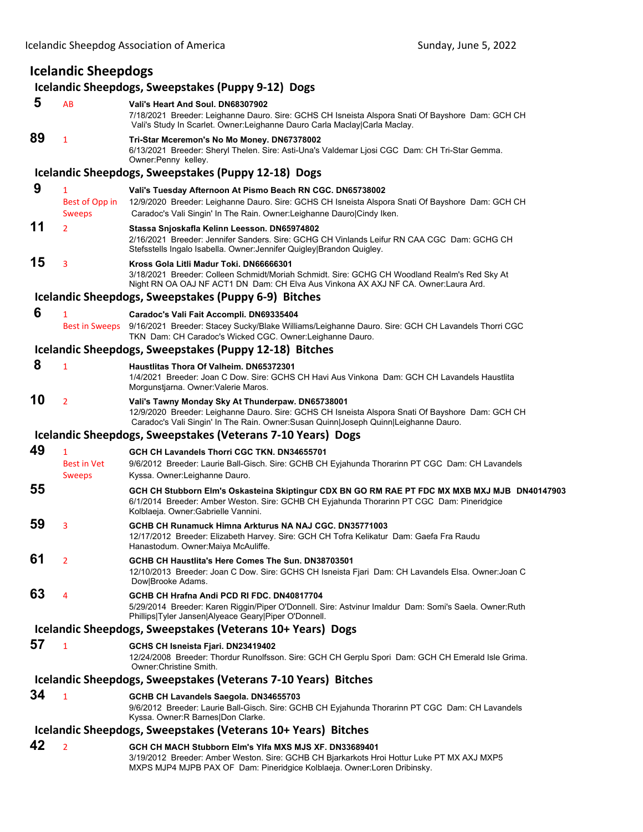## **Icelandic Sheepdogs**

## **Icelandic Sheepdogs, Sweepstakes (Puppy 9‐12) Dogs**

| 5                                                              | AB                                              | Vali's Heart And Soul, DN68307902<br>7/18/2021 Breeder: Leighanne Dauro. Sire: GCHS CH Isneista Alspora Snati Of Bayshore Dam: GCH CH<br>Vali's Study In Scarlet. Owner: Leighanne Dauro Carla Maclay Carla Maclay.                           |
|----------------------------------------------------------------|-------------------------------------------------|-----------------------------------------------------------------------------------------------------------------------------------------------------------------------------------------------------------------------------------------------|
| 89                                                             | 1                                               | Tri-Star Mceremon's No Mo Money. DN67378002<br>6/13/2021 Breeder: Sheryl Thelen. Sire: Asti-Una's Valdemar Ljosi CGC Dam: CH Tri-Star Gemma.<br>Owner: Penny kelley.                                                                          |
|                                                                |                                                 | Icelandic Sheepdogs, Sweepstakes (Puppy 12-18) Dogs                                                                                                                                                                                           |
| 9                                                              | $\mathbf{1}$<br>Best of Opp in<br><b>Sweeps</b> | Vali's Tuesday Afternoon At Pismo Beach RN CGC. DN65738002<br>12/9/2020 Breeder: Leighanne Dauro. Sire: GCHS CH Isneista Alspora Snati Of Bayshore Dam: GCH CH<br>Caradoc's Vali Singin' In The Rain. Owner: Leighanne Dauro Cindy Iken.      |
| 11                                                             | $\overline{2}$                                  | Stassa Snjoskafla Kelinn Leesson. DN65974802<br>2/16/2021 Breeder: Jennifer Sanders. Sire: GCHG CH Vinlands Leifur RN CAA CGC Dam: GCHG CH<br>Stefsstells Ingalo Isabella. Owner: Jennifer Quigley Brandon Quigley.                           |
| 15                                                             | 3                                               | Kross Gola Litli Madur Toki. DN66666301<br>3/18/2021 Breeder: Colleen Schmidt/Moriah Schmidt. Sire: GCHG CH Woodland Realm's Red Sky At<br>Night RN OA OAJ NF ACT1 DN Dam: CH Elva Aus Vinkona AX AXJ NF CA. Owner: Laura Ard.                |
|                                                                |                                                 | Icelandic Sheepdogs, Sweepstakes (Puppy 6-9) Bitches                                                                                                                                                                                          |
| 6                                                              | $\mathbf{1}$<br><b>Best in Sweeps</b>           | Caradoc's Vali Fait Accompli. DN69335404<br>9/16/2021 Breeder: Stacey Sucky/Blake Williams/Leighanne Dauro. Sire: GCH CH Lavandels Thorri CGC<br>TKN Dam: CH Caradoc's Wicked CGC. Owner:Leighanne Dauro.                                     |
|                                                                |                                                 | Icelandic Sheepdogs, Sweepstakes (Puppy 12-18) Bitches                                                                                                                                                                                        |
| 8                                                              | 1                                               | Haustlitas Thora Of Valheim. DN65372301<br>1/4/2021 Breeder: Joan C Dow. Sire: GCHS CH Havi Aus Vinkona Dam: GCH CH Lavandels Haustlita<br>Morgunstjarna. Owner: Valerie Maros.                                                               |
| 10                                                             | $\overline{2}$                                  | Vali's Tawny Monday Sky At Thunderpaw. DN65738001<br>12/9/2020 Breeder: Leighanne Dauro. Sire: GCHS CH Isneista Alspora Snati Of Bayshore Dam: GCH CH<br>Caradoc's Vali Singin' In The Rain. Owner: Susan Quinn Joseph Quinn Leighanne Dauro. |
|                                                                |                                                 | Icelandic Sheepdogs, Sweepstakes (Veterans 7-10 Years) Dogs                                                                                                                                                                                   |
| 49                                                             | 1                                               | GCH CH Lavandels Thorri CGC TKN, DN34655701                                                                                                                                                                                                   |
|                                                                | <b>Best in Vet</b>                              | 9/6/2012 Breeder: Laurie Ball-Gisch. Sire: GCHB CH Eyjahunda Thorarinn PT CGC Dam: CH Lavandels                                                                                                                                               |
| 55                                                             | <b>Sweeps</b>                                   | Kyssa. Owner:Leighanne Dauro.                                                                                                                                                                                                                 |
|                                                                |                                                 | GCH CH Stubborn Elm's Oskasteina Skiptingur CDX BN GO RM RAE PT FDC MX MXB MXJ MJB DN40147903<br>6/1/2014 Breeder: Amber Weston. Sire: GCHB CH Eyjahunda Thorarinn PT CGC Dam: Pineridgice<br>Kolblaeja. Owner: Gabrielle Vannini.            |
| 59                                                             | 3                                               | GCHB CH Runamuck Himna Arkturus NA NAJ CGC, DN35771003<br>12/17/2012 Breeder: Elizabeth Harvey. Sire: GCH CH Tofra Kelikatur Dam: Gaefa Fra Raudu<br>Hanastodum. Owner:Maiya McAuliffe.                                                       |
| 61                                                             | $\overline{2}$                                  | GCHB CH Haustlita's Here Comes The Sun. DN38703501<br>12/10/2013 Breeder: Joan C Dow. Sire: GCHS CH Isneista Fjari Dam: CH Lavandels Elsa. Owner: Joan C<br>Dow Brooke Adams.                                                                 |
| 63                                                             | 4                                               | GCHB CH Hrafna Andi PCD RI FDC. DN40817704<br>5/29/2014 Breeder: Karen Riggin/Piper O'Donnell. Sire: Astvinur Imaldur Dam: Somi's Saela. Owner: Ruth<br>Phillips Tyler Jansen Alyeace Geary Piper O'Donnell.                                  |
|                                                                |                                                 | Icelandic Sheepdogs, Sweepstakes (Veterans 10+ Years) Dogs                                                                                                                                                                                    |
| 57                                                             | $\mathbf{1}$                                    | GCHS CH Isneista Fjari. DN23419402<br>12/24/2008 Breeder: Thordur Runolfsson. Sire: GCH CH Gerplu Spori Dam: GCH CH Emerald Isle Grima.<br>Owner: Christine Smith.                                                                            |
| Icelandic Sheepdogs, Sweepstakes (Veterans 7-10 Years) Bitches |                                                 |                                                                                                                                                                                                                                               |
| 34                                                             | 1                                               | GCHB CH Lavandels Saegola. DN34655703<br>9/6/2012 Breeder: Laurie Ball-Gisch. Sire: GCHB CH Eyjahunda Thorarinn PT CGC Dam: CH Lavandels<br>Kyssa. Owner: R Barnes Don Clarke.                                                                |
| Icelandic Sheepdogs, Sweepstakes (Veterans 10+ Years) Bitches  |                                                 |                                                                                                                                                                                                                                               |
| 42                                                             | $\overline{2}$                                  | GCH CH MACH Stubborn Elm's Ylfa MXS MJS XF, DN33689401<br>3/19/2012 Breeder: Amber Weston. Sire: GCHB CH Bjarkarkots Hroi Hottur Luke PT MX AXJ MXP5<br>MXPS MJP4 MJPB PAX OF Dam: Pineridgice Kolblaeja. Owner:Loren Dribinsky.              |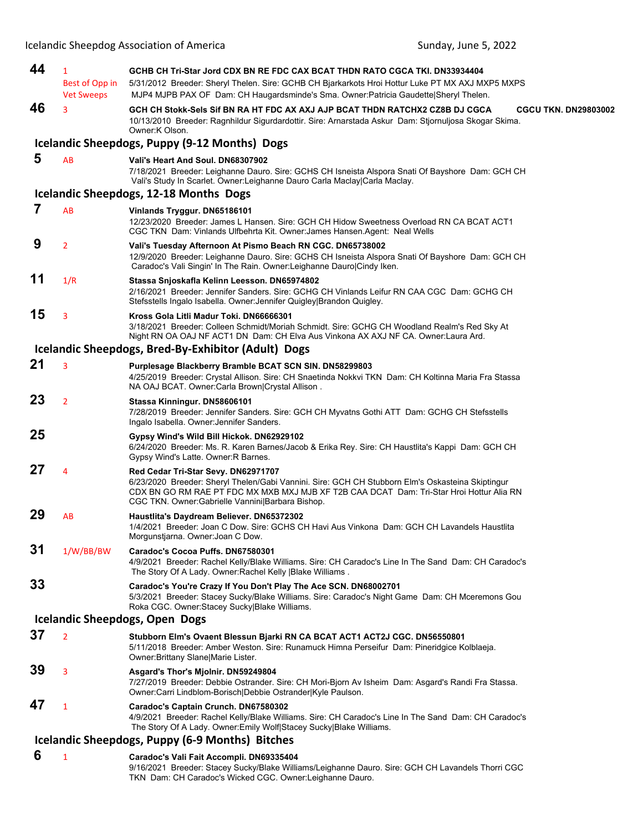| 44 | $\mathbf{1}$<br>Best of Opp in<br><b>Vet Sweeps</b> | GCHB CH Tri-Star Jord CDX BN RE FDC CAX BCAT THDN RATO CGCA TKI. DN33934404<br>5/31/2012 Breeder: Sheryl Thelen. Sire: GCHB CH Bjarkarkots Hroi Hottur Luke PT MX AXJ MXP5 MXPS<br>MJP4 MJPB PAX OF Dam: CH Haugardsminde's Sma. Owner: Patricia Gaudette Sheryl Thelen.                 |
|----|-----------------------------------------------------|------------------------------------------------------------------------------------------------------------------------------------------------------------------------------------------------------------------------------------------------------------------------------------------|
| 46 | 3                                                   | GCH CH Stokk-Sels Sif BN RA HT FDC AX AXJ AJP BCAT THDN RATCHX2 CZ8B DJ CGCA<br><b>CGCU TKN. DN29803002</b><br>10/13/2010 Breeder: Ragnhildur Sigurdardottir. Sire: Arnarstada Askur Dam: Stjornuljosa Skogar Skima.<br>Owner:K Olson.                                                   |
|    |                                                     | Icelandic Sheepdogs, Puppy (9-12 Months) Dogs                                                                                                                                                                                                                                            |
| 5  | AB                                                  | Vali's Heart And Soul. DN68307902<br>7/18/2021 Breeder: Leighanne Dauro. Sire: GCHS CH Isneista Alspora Snati Of Bayshore Dam: GCH CH<br>Vali's Study In Scarlet. Owner:Leighanne Dauro Carla Maclay Carla Maclay.                                                                       |
|    |                                                     | Icelandic Sheepdogs, 12-18 Months Dogs                                                                                                                                                                                                                                                   |
| 7  | AB                                                  | Vinlands Tryggur. DN65186101<br>12/23/2020 Breeder: James L Hansen. Sire: GCH CH Hidow Sweetness Overload RN CA BCAT ACT1<br>CGC TKN Dam: Vinlands Ulfbehrta Kit. Owner: James Hansen. Agent: Neal Wells                                                                                 |
| 9  | $\overline{2}$                                      | Vali's Tuesday Afternoon At Pismo Beach RN CGC. DN65738002<br>12/9/2020 Breeder: Leighanne Dauro. Sire: GCHS CH Isneista Alspora Snati Of Bayshore Dam: GCH CH<br>Caradoc's Vali Singin' In The Rain. Owner: Leighanne Dauro Cindy Iken.                                                 |
| 11 | 1/R                                                 | Stassa Snjoskafla Kelinn Leesson. DN65974802<br>2/16/2021 Breeder: Jennifer Sanders. Sire: GCHG CH Vinlands Leifur RN CAA CGC Dam: GCHG CH<br>Stefsstells Ingalo Isabella. Owner: Jennifer Quigley Brandon Quigley.                                                                      |
| 15 | 3                                                   | Kross Gola Litli Madur Toki. DN66666301<br>3/18/2021 Breeder: Colleen Schmidt/Moriah Schmidt. Sire: GCHG CH Woodland Realm's Red Sky At<br>Night RN OA OAJ NF ACT1 DN Dam: CH Elva Aus Vinkona AX AXJ NF CA. Owner: Laura Ard.                                                           |
|    |                                                     | Icelandic Sheepdogs, Bred-By-Exhibitor (Adult) Dogs                                                                                                                                                                                                                                      |
| 21 | 3                                                   | Purplesage Blackberry Bramble BCAT SCN SIN. DN58299803<br>4/25/2019 Breeder: Crystal Allison. Sire: CH Snaetinda Nokkvi TKN Dam: CH Koltinna Maria Fra Stassa<br>NA OAJ BCAT. Owner:Carla Brown Crystal Allison.                                                                         |
| 23 | $\overline{2}$                                      | Stassa Kinningur. DN58606101<br>7/28/2019 Breeder: Jennifer Sanders. Sire: GCH CH Myvatns Gothi ATT Dam: GCHG CH Stefsstells<br>Ingalo Isabella. Owner: Jennifer Sanders.                                                                                                                |
| 25 |                                                     | Gypsy Wind's Wild Bill Hickok. DN62929102<br>6/24/2020 Breeder: Ms. R. Karen Barnes/Jacob & Erika Rey. Sire: CH Haustlita's Kappi Dam: GCH CH<br>Gypsy Wind's Latte. Owner: R Barnes.                                                                                                    |
| 27 | 4                                                   | Red Cedar Tri-Star Sevy. DN62971707<br>6/23/2020 Breeder: Sheryl Thelen/Gabi Vannini. Sire: GCH CH Stubborn Elm's Oskasteina Skiptingur<br>CDX BN GO RM RAE PT FDC MX MXB MXJ MJB XF T2B CAA DCAT Dam: Tri-Star Hroi Hottur Alia RN<br>CGC TKN. Owner: Gabrielle Vannini Barbara Bishop. |
| 29 | AB                                                  | Haustlita's Daydream Believer. DN65372302<br>1/4/2021 Breeder: Joan C Dow. Sire: GCHS CH Havi Aus Vinkona Dam: GCH CH Lavandels Haustlita<br>Morgunstjarna. Owner: Joan C Dow.                                                                                                           |
| 31 | 1/W/BB/BW                                           | Caradoc's Cocoa Puffs. DN67580301<br>4/9/2021 Breeder: Rachel Kelly/Blake Williams. Sire: CH Caradoc's Line In The Sand Dam: CH Caradoc's<br>The Story Of A Lady. Owner: Rachel Kelly   Blake Williams.                                                                                  |
| 33 |                                                     | Caradoc's You're Crazy If You Don't Play The Ace SCN. DN68002701<br>5/3/2021 Breeder: Stacey Sucky/Blake Williams. Sire: Caradoc's Night Game Dam: CH Mceremons Gou<br>Roka CGC. Owner Stacey Sucky Blake Williams.                                                                      |
|    |                                                     | <b>Icelandic Sheepdogs, Open Dogs</b>                                                                                                                                                                                                                                                    |
| 37 | $\overline{2}$                                      | Stubborn Elm's Ovaent Blessun Bjarki RN CA BCAT ACT1 ACT2J CGC. DN56550801<br>5/11/2018 Breeder: Amber Weston. Sire: Runamuck Himna Perseifur Dam: Pineridgice Kolblaeja.<br>Owner: Brittany Slane Marie Lister.                                                                         |
| 39 | 3                                                   | Asgard's Thor's Mjolnir. DN59249804<br>7/27/2019 Breeder: Debbie Ostrander. Sire: CH Mori-Bjorn Av Isheim Dam: Asgard's Randi Fra Stassa.<br>Owner: Carri Lindblom-Borisch Debbie Ostrander Kyle Paulson.                                                                                |
| 47 | $\mathbf{1}$                                        | Caradoc's Captain Crunch. DN67580302<br>4/9/2021 Breeder: Rachel Kelly/Blake Williams. Sire: CH Caradoc's Line In The Sand Dam: CH Caradoc's<br>The Story Of A Lady. Owner: Emily Wolf Stacey Sucky Blake Williams.                                                                      |
|    |                                                     | Icelandic Sheepdogs, Puppy (6-9 Months) Bitches                                                                                                                                                                                                                                          |
| 6  | $\mathbf{1}$                                        | Caradoc's Vali Fait Accompli. DN69335404<br>9/16/2021 Breeder: Stacey Sucky/Blake Williams/Leighanne Dauro. Sire: GCH CH Lavandels Thorri CGC<br>TKN Dam: CH Caradoc's Wicked CGC. Owner: Leighanne Dauro.                                                                               |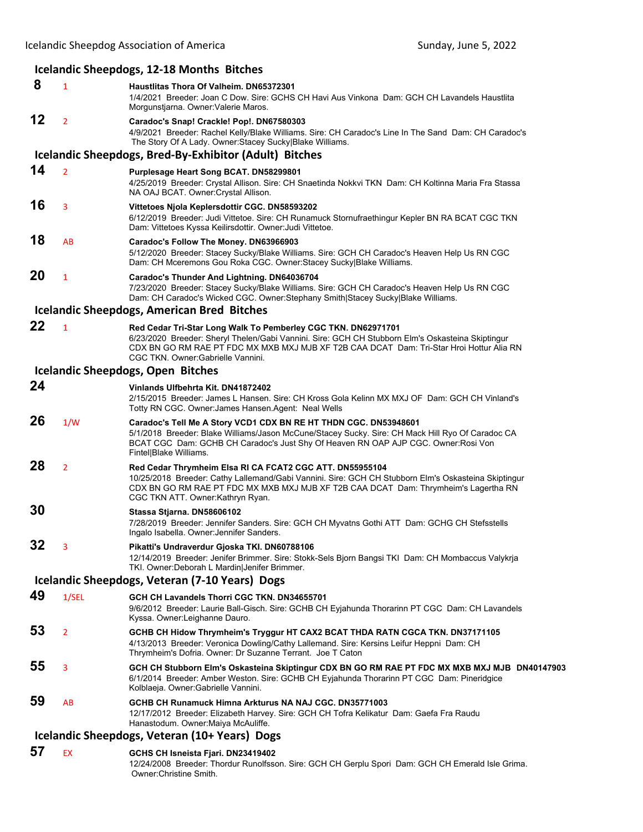|    |                | Icelandic Sheepdogs, 12-18 Months Bitches                                                                                                                                                                                                                                                           |
|----|----------------|-----------------------------------------------------------------------------------------------------------------------------------------------------------------------------------------------------------------------------------------------------------------------------------------------------|
| 8  | 1              | Haustlitas Thora Of Valheim. DN65372301<br>1/4/2021 Breeder: Joan C Dow. Sire: GCHS CH Havi Aus Vinkona Dam: GCH CH Lavandels Haustlita<br>Morgunstjarna. Owner: Valerie Maros.                                                                                                                     |
| 12 | $\overline{2}$ | Caradoc's Snap! Crackle! Pop!. DN67580303<br>4/9/2021 Breeder: Rachel Kelly/Blake Williams. Sire: CH Caradoc's Line In The Sand Dam: CH Caradoc's<br>The Story Of A Lady. Owner: Stacey Sucky Blake Williams.                                                                                       |
|    |                | Icelandic Sheepdogs, Bred-By-Exhibitor (Adult) Bitches                                                                                                                                                                                                                                              |
| 14 | $\overline{2}$ | Purplesage Heart Song BCAT. DN58299801<br>4/25/2019 Breeder: Crystal Allison. Sire: CH Snaetinda Nokkvi TKN Dam: CH Koltinna Maria Fra Stassa<br>NA OAJ BCAT. Owner: Crystal Allison.                                                                                                               |
| 16 | 3              | Vittetoes Njola Keplersdottir CGC. DN58593202<br>6/12/2019 Breeder: Judi Vittetoe. Sire: CH Runamuck Stornufraethingur Kepler BN RA BCAT CGC TKN<br>Dam: Vittetoes Kyssa Keilirsdottir. Owner: Judi Vittetoe.                                                                                       |
| 18 | AB             | Caradoc's Follow The Money. DN63966903<br>5/12/2020 Breeder: Stacey Sucky/Blake Williams. Sire: GCH CH Caradoc's Heaven Help Us RN CGC<br>Dam: CH Mceremons Gou Roka CGC. Owner:Stacey Sucky Blake Williams.                                                                                        |
| 20 | 1              | Caradoc's Thunder And Lightning. DN64036704<br>7/23/2020 Breeder: Stacey Sucky/Blake Williams. Sire: GCH CH Caradoc's Heaven Help Us RN CGC<br>Dam: CH Caradoc's Wicked CGC. Owner:Stephany Smith Stacey Sucky Blake Williams.                                                                      |
|    |                | <b>Icelandic Sheepdogs, American Bred Bitches</b>                                                                                                                                                                                                                                                   |
| 22 | $\mathbf{1}$   | Red Cedar Tri-Star Long Walk To Pemberley CGC TKN. DN62971701<br>6/23/2020 Breeder: Sheryl Thelen/Gabi Vannini. Sire: GCH CH Stubborn Elm's Oskasteina Skiptingur<br>CDX BN GO RM RAE PT FDC MX MXB MXJ MJB XF T2B CAA DCAT Dam: Tri-Star Hroi Hottur Alia RN<br>CGC TKN. Owner: Gabrielle Vannini. |
|    |                | <b>Icelandic Sheepdogs, Open Bitches</b>                                                                                                                                                                                                                                                            |
| 24 |                | Vinlands Ulfbehrta Kit. DN41872402<br>2/15/2015 Breeder: James L Hansen. Sire: CH Kross Gola Kelinn MX MXJ OF Dam: GCH CH Vinland's<br>Totty RN CGC. Owner: James Hansen. Agent: Neal Wells                                                                                                         |
| 26 | 1/W            | Caradoc's Tell Me A Story VCD1 CDX BN RE HT THDN CGC. DN53948601<br>5/1/2018 Breeder: Blake Williams/Jason McCune/Stacey Sucky. Sire: CH Mack Hill Ryo Of Caradoc CA<br>BCAT CGC Dam: GCHB CH Caradoc's Just Shy Of Heaven RN OAP AJP CGC. Owner: Rosi Von<br>Fintel Blake Williams.                |
| 28 | $\overline{2}$ | Red Cedar Thrymheim Elsa RI CA FCAT2 CGC ATT. DN55955104<br>10/25/2018 Breeder: Cathy Lallemand/Gabi Vannini. Sire: GCH CH Stubborn Elm's Oskasteina Skiptingur<br>CDX BN GO RM RAE PT FDC MX MXB MXJ MJB XF T2B CAA DCAT Dam: Thrymheim's Lagertha RN<br>CGC TKN ATT. Owner: Kathryn Ryan.         |
| 30 |                | Stassa Stjarna. DN58606102<br>7/28/2019 Breeder: Jennifer Sanders. Sire: GCH CH Myvatns Gothi ATT Dam: GCHG CH Stefsstells<br>Ingalo Isabella. Owner: Jennifer Sanders.                                                                                                                             |
| 32 | 3              | Pikatti's Undraverdur Gjoska TKI. DN60788106<br>12/14/2019 Breeder: Jenifer Brimmer. Sire: Stokk-Sels Bjorn Bangsi TKI Dam: CH Mombaccus Valykrja<br>TKI. Owner: Deborah L Mardin Jenifer Brimmer.                                                                                                  |
|    |                | Icelandic Sheepdogs, Veteran (7-10 Years) Dogs                                                                                                                                                                                                                                                      |
| 49 | 1/SEL          | GCH CH Lavandels Thorri CGC TKN. DN34655701<br>9/6/2012 Breeder: Laurie Ball-Gisch. Sire: GCHB CH Eyjahunda Thorarinn PT CGC Dam: CH Lavandels<br>Kyssa. Owner:Leighanne Dauro.                                                                                                                     |
| 53 | 2              | GCHB CH Hidow Thrymheim's Tryggur HT CAX2 BCAT THDA RATN CGCA TKN. DN37171105<br>4/13/2013 Breeder: Veronica Dowling/Cathy Lallemand. Sire: Kersins Leifur Heppni Dam: CH<br>Thrymheim's Dofria. Owner: Dr Suzanne Terrant. Joe T Caton                                                             |
| 55 | 3              | GCH CH Stubborn Elm's Oskasteina Skiptingur CDX BN GO RM RAE PT FDC MX MXB MXJ MJB DN40147903<br>6/1/2014 Breeder: Amber Weston. Sire: GCHB CH Eyjahunda Thorarinn PT CGC Dam: Pineridgice<br>Kolblaeja. Owner: Gabrielle Vannini.                                                                  |
| 59 | AB             | GCHB CH Runamuck Himna Arkturus NA NAJ CGC. DN35771003<br>12/17/2012 Breeder: Elizabeth Harvey. Sire: GCH CH Tofra Kelikatur Dam: Gaefa Fra Raudu<br>Hanastodum. Owner: Maiya McAuliffe.                                                                                                            |
|    |                | Icelandic Sheepdogs, Veteran (10+ Years) Dogs                                                                                                                                                                                                                                                       |
| 57 | EX             | GCHS CH Isneista Fjari. DN23419402<br>12/24/2008 Breeder: Thordur Runolfsson. Sire: GCH CH Gerplu Spori Dam: GCH CH Emerald Isle Grima.<br>Owner: Christine Smith.                                                                                                                                  |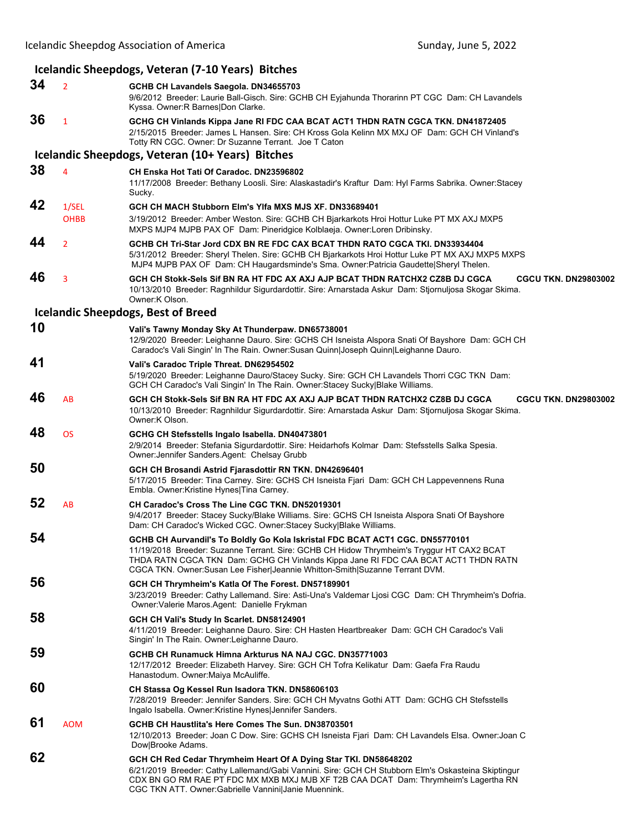## **Icelandic Sheepdogs, Veteran (7‐10 Years) Bitches 34** <sup>2</sup> **GCHB CH Lavandels Saegola. DN34655703** 9/6/2012 Breeder: Laurie Ball-Gisch. Sire: GCHB CH Eyjahunda Thorarinn PT CGC Dam: CH Lavandels Kyssa. Owner:R Barnes|Don Clarke. **36** <sup>1</sup> **GCHG CH Vinlands Kippa Jane RI FDC CAA BCAT ACT1 THDN RATN CGCA TKN. DN41872405** 2/15/2015 Breeder: James L Hansen. Sire: CH Kross Gola Kelinn MX MXJ OF Dam: GCH CH Vinland's Totty RN CGC. Owner: Dr Suzanne Terrant. Joe T Caton **Icelandic Sheepdogs, Veteran (10+ Years) Bitches 38** <sup>4</sup> **CH Enska Hot Tati Of Caradoc. DN23596802** 11/17/2008 Breeder: Bethany Loosli. Sire: Alaskastadir's Kraftur Dam: Hyl Farms Sabrika. Owner:Stacey Sucky. **42** 1/SEL **GCH CH MACH Stubborn Elm's Ylfa MXS MJS XF. DN33689401** OHBB 3/19/2012 Breeder: Amber Weston. Sire: GCHB CH Bjarkarkots Hroi Hottur Luke PT MX AXJ MXP5 MXPS MJP4 MJPB PAX OF Dam: Pineridgice Kolblaeja. Owner:Loren Dribinsky. **44** <sup>2</sup> **GCHB CH Tri-Star Jord CDX BN RE FDC CAX BCAT THDN RATO CGCA TKI. DN33934404** 5/31/2012 Breeder: Sheryl Thelen. Sire: GCHB CH Bjarkarkots Hroi Hottur Luke PT MX AXJ MXP5 MXPS MJP4 MJPB PAX OF Dam: CH Haugardsminde's Sma. Owner:Patricia Gaudette|Sheryl Thelen. **46** <sup>3</sup> **GCH CH Stokk-Sels Sif BN RA HT FDC AX AXJ AJP BCAT THDN RATCHX2 CZ8B DJ CGCA CGCU TKN. DN29803002** 10/13/2010 Breeder: Ragnhildur Sigurdardottir. Sire: Arnarstada Askur Dam: Stjornuljosa Skogar Skima. Owner:K Olson. **Icelandic Sheepdogs, Best of Breed 10 Vali's Tawny Monday Sky At Thunderpaw. DN65738001** 12/9/2020 Breeder: Leighanne Dauro. Sire: GCHS CH Isneista Alspora Snati Of Bayshore Dam: GCH CH Caradoc's Vali Singin' In The Rain. Owner:Susan Quinn|Joseph Quinn|Leighanne Dauro. **41 Vali's Caradoc Triple Threat. DN62954502** 5/19/2020 Breeder: Leighanne Dauro/Stacey Sucky. Sire: GCH CH Lavandels Thorri CGC TKN Dam: GCH CH Caradoc's Vali Singin' In The Rain. Owner:Stacey Sucky|Blake Williams. **46** AB **GCH CH Stokk-Sels Sif BN RA HT FDC AX AXJ AJP BCAT THDN RATCHX2 CZ8B DJ CGCA CGCU TKN. DN29803002** 10/13/2010 Breeder: Ragnhildur Sigurdardottir. Sire: Arnarstada Askur Dam: Stjornuljosa Skogar Skima. Owner:K Olson. **48** OS **GCHG CH Stefsstells Ingalo Isabella. DN40473801** 2/9/2014 Breeder: Stefania Sigurdardottir. Sire: Heidarhofs Kolmar Dam: Stefsstells Salka Spesia. Owner:Jennifer Sanders.Agent: Chelsay Grubb **50 GCH CH Brosandi Astrid Fjarasdottir RN TKN. DN42696401** 5/17/2015 Breeder: Tina Carney. Sire: GCHS CH Isneista Fjari Dam: GCH CH Lappevennens Runa Embla. Owner:Kristine Hynes|Tina Carney. **52** AB **CH Caradoc's Cross The Line CGC TKN. DN52019301** 9/4/2017 Breeder: Stacey Sucky/Blake Williams. Sire: GCHS CH Isneista Alspora Snati Of Bayshore Dam: CH Caradoc's Wicked CGC. Owner:Stacey Sucky|Blake Williams. **54 GCHB CH Aurvandil's To Boldly Go Kola Iskristal FDC BCAT ACT1 CGC. DN55770101** 11/19/2018 Breeder: Suzanne Terrant. Sire: GCHB CH Hidow Thrymheim's Tryggur HT CAX2 BCAT THDA RATN CGCA TKN Dam: GCHG CH Vinlands Kippa Jane RI FDC CAA BCAT ACT1 THDN RATN CGCA TKN. Owner:Susan Lee Fisher|Jeannie Whitton-Smith|Suzanne Terrant DVM. **56 GCH CH Thrymheim's Katla Of The Forest. DN57189901** 3/23/2019 Breeder: Cathy Lallemand. Sire: Asti-Una's Valdemar Ljosi CGC Dam: CH Thrymheim's Dofria. Owner:Valerie Maros.Agent: Danielle Frykman **58 GCH CH Vali's Study In Scarlet. DN58124901** 4/11/2019 Breeder: Leighanne Dauro. Sire: CH Hasten Heartbreaker Dam: GCH CH Caradoc's Vali Singin' In The Rain. Owner:Leighanne Dauro. **59 GCHB CH Runamuck Himna Arkturus NA NAJ CGC. DN35771003** 12/17/2012 Breeder: Elizabeth Harvey. Sire: GCH CH Tofra Kelikatur Dam: Gaefa Fra Raudu Hanastodum. Owner:Maiya McAuliffe. **60 CH Stassa Og Kessel Run Isadora TKN. DN58606103** 7/28/2019 Breeder: Jennifer Sanders. Sire: GCH CH Myvatns Gothi ATT Dam: GCHG CH Stefsstells Ingalo Isabella. Owner:Kristine Hynes|Jennifer Sanders. **61** AOM **GCHB CH Haustlita's Here Comes The Sun. DN38703501** 12/10/2013 Breeder: Joan C Dow. Sire: GCHS CH Isneista Fjari Dam: CH Lavandels Elsa. Owner:Joan C Dow|Brooke Adams. **62 GCH CH Red Cedar Thrymheim Heart Of A Dying Star TKI. DN58648202** 6/21/2019 Breeder: Cathy Lallemand/Gabi Vannini. Sire: GCH CH Stubborn Elm's Oskasteina Skiptingur CDX BN GO RM RAE PT FDC MX MXB MXJ MJB XF T2B CAA DCAT Dam: Thrymheim's Lagertha RN CGC TKN ATT. Owner:Gabrielle Vannini|Janie Muennink.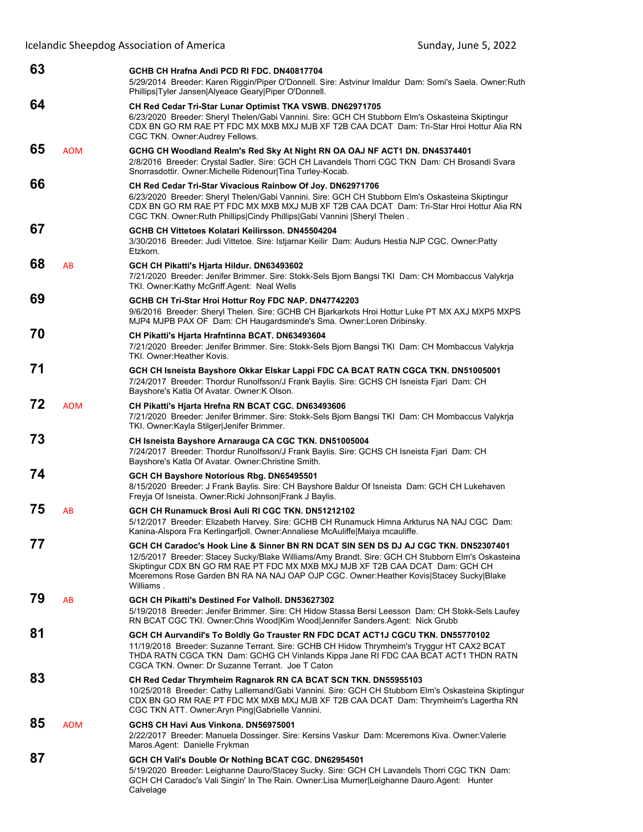| 63 |            | GCHB CH Hrafna Andi PCD RI FDC, DN40817704<br>5/29/2014 Breeder: Karen Riggin/Piper O'Donnell. Sire: Astvinur Imaldur Dam: Somi's Saela. Owner: Ruth<br>Phillips Tyler Jansen Alyeace Geary Piper O'Donnell.                                                                                                                                                                      |
|----|------------|-----------------------------------------------------------------------------------------------------------------------------------------------------------------------------------------------------------------------------------------------------------------------------------------------------------------------------------------------------------------------------------|
| 64 |            | CH Red Cedar Tri-Star Lunar Optimist TKA VSWB. DN62971705<br>6/23/2020 Breeder: Sheryl Thelen/Gabi Vannini. Sire: GCH CH Stubborn Elm's Oskasteina Skiptingur<br>CDX BN GO RM RAE PT FDC MX MXB MXJ MJB XF T2B CAA DCAT Dam: Tri-Star Hroi Hottur Alia RN<br>CGC TKN. Owner: Audrey Fellows.                                                                                      |
| 65 | <b>AOM</b> | GCHG CH Woodland Realm's Red Sky At Night RN OA OAJ NF ACT1 DN. DN45374401<br>2/8/2016 Breeder: Crystal Sadler. Sire: GCH CH Lavandels Thorri CGC TKN Dam: CH Brosandi Svara<br>Snorrasdottir. Owner: Michelle Ridenour Tina Turley-Kocab.                                                                                                                                        |
| 66 |            | CH Red Cedar Tri-Star Vivacious Rainbow Of Joy. DN62971706<br>6/23/2020 Breeder: Sheryl Thelen/Gabi Vannini. Sire: GCH CH Stubborn Elm's Oskasteina Skiptingur<br>CDX BN GO RM RAE PT FDC MX MXB MXJ MJB XF T2B CAA DCAT Dam: Tri-Star Hroi Hottur Alia RN<br>CGC TKN. Owner: Ruth Phillips Cindy Phillips Gabi Vannini   Sheryl Thelen.                                          |
| 67 |            | GCHB CH Vittetoes Kolatari Keilirsson, DN45504204<br>3/30/2016 Breeder: Judi Vittetoe. Sire: Istjarnar Keilir Dam: Audurs Hestia NJP CGC. Owner:Patty<br>Etzkorn.                                                                                                                                                                                                                 |
| 68 | AB         | GCH CH Pikatti's Hjarta Hildur. DN63493602<br>7/21/2020 Breeder: Jenifer Brimmer. Sire: Stokk-Sels Bjorn Bangsi TKI Dam: CH Mombaccus Valykrja<br>TKI. Owner:Kathy McGriff.Agent: Neal Wells                                                                                                                                                                                      |
| 69 |            | GCHB CH Tri-Star Hroi Hottur Roy FDC NAP. DN47742203<br>9/6/2016 Breeder: Sheryl Thelen. Sire: GCHB CH Bjarkarkots Hroi Hottur Luke PT MX AXJ MXP5 MXPS<br>MJP4 MJPB PAX OF Dam: CH Haugardsminde's Sma. Owner:Loren Dribinsky.                                                                                                                                                   |
| 70 |            | CH Pikatti's Hjarta Hrafntinna BCAT. DN63493604<br>7/21/2020 Breeder: Jenifer Brimmer. Sire: Stokk-Sels Bjorn Bangsi TKI Dam: CH Mombaccus Valykrja<br>TKI, Owner: Heather Kovis.                                                                                                                                                                                                 |
| 71 |            | GCH CH Isneista Bayshore Okkar Elskar Lappi FDC CA BCAT RATN CGCA TKN. DN51005001<br>7/24/2017 Breeder: Thordur Runolfsson/J Frank Baylis. Sire: GCHS CH Isneista Fjari Dam: CH<br>Bayshore's Katla Of Avatar. Owner: K Olson.                                                                                                                                                    |
| 72 | <b>AOM</b> | <b>CH Pikatti's Hjarta Hrefna RN BCAT CGC. DN63493606</b><br>7/21/2020 Breeder: Jenifer Brimmer. Sire: Stokk-Sels Bjorn Bangsi TKI Dam: CH Mombaccus Valykrja<br>TKI. Owner: Kayla Stilger Jenifer Brimmer.                                                                                                                                                                       |
| 73 |            | CH Isneista Bayshore Arnarauga CA CGC TKN. DN51005004<br>7/24/2017 Breeder: Thordur Runolfsson/J Frank Baylis. Sire: GCHS CH Isneista Fjari Dam: CH<br>Bayshore's Katla Of Avatar. Owner: Christine Smith.                                                                                                                                                                        |
| 74 |            | GCH CH Bayshore Notorious Rbg. DN65495501<br>8/15/2020 Breeder: J Frank Baylis. Sire: CH Bayshore Baldur Of Isneista Dam: GCH CH Lukehaven<br>Freyja Of Isneista. Owner: Ricki Johnson Frank J Baylis.                                                                                                                                                                            |
| 75 | AB         | GCH CH Runamuck Brosi Auli RI CGC TKN. DN51212102<br>5/12/2017 Breeder: Elizabeth Harvey. Sire: GCHB CH Runamuck Himna Arkturus NA NAJ CGC Dam:<br>Kanina-Alspora Fra Kerlingarfjoll. Owner:Annaliese McAuliffe Maiya mcauliffe.                                                                                                                                                  |
| 77 |            | GCH CH Caradoc's Hook Line & Sinner BN RN DCAT SIN SEN DS DJ AJ CGC TKN. DN52307401<br>12/5/2017 Breeder: Stacey Sucky/Blake Williams/Amy Brandt. Sire: GCH CH Stubborn Elm's Oskasteina<br>Skiptingur CDX BN GO RM RAE PT FDC MX MXB MXJ MJB XF T2B CAA DCAT Dam: GCH CH<br>Mceremons Rose Garden BN RA NA NAJ OAP OJP CGC. Owner: Heather Kovis Stacey Sucky Blake<br>Williams. |
| 79 | AB         | GCH CH Pikatti's Destined For Valholl, DN53627302<br>5/19/2018 Breeder: Jenifer Brimmer. Sire: CH Hidow Stassa Bersi Leesson Dam: CH Stokk-Sels Laufey<br>RN BCAT CGC TKI. Owner: Chris Wood Kim Wood Jennifer Sanders. Agent: Nick Grubb                                                                                                                                         |
| 81 |            | GCH CH Aurvandil's To Boldly Go Trauster RN FDC DCAT ACT1J CGCU TKN. DN55770102<br>11/19/2018 Breeder: Suzanne Terrant. Sire: GCHB CH Hidow Thrymheim's Tryggur HT CAX2 BCAT<br>THDA RATN CGCA TKN Dam: GCHG CH Vinlands Kippa Jane RI FDC CAA BCAT ACT1 THDN RATN<br>CGCA TKN, Owner: Dr Suzanne Terrant, Joe T Caton                                                            |
| 83 |            | CH Red Cedar Thrymheim Ragnarok RN CA BCAT SCN TKN. DN55955103<br>10/25/2018 Breeder: Cathy Lallemand/Gabi Vannini. Sire: GCH CH Stubborn Elm's Oskasteina Skiptingur<br>CDX BN GO RM RAE PT FDC MX MXB MXJ MJB XF T2B CAA DCAT Dam: Thrymheim's Lagertha RN<br>CGC TKN ATT. Owner: Aryn Ping Gabrielle Vannini.                                                                  |
| 85 | <b>AOM</b> | GCHS CH Havi Aus Vinkona, DN56975001<br>2/22/2017 Breeder: Manuela Dossinger. Sire: Kersins Vaskur Dam: Mceremons Kiva. Owner: Valerie<br>Maros Agent: Danielle Frykman                                                                                                                                                                                                           |

Icelandic Sheepdog Association of America 
Sunday, June 5, 2022

## **87 GCH CH Vali's Double Or Nothing BCAT CGC. DN62954501**

5/19/2020 Breeder: Leighanne Dauro/Stacey Sucky. Sire: GCH CH Lavandels Thorri CGC TKN Dam: GCH CH Caradoc's Vali Singin' In The Rain. Owner:Lisa Murner|Leighanne Dauro.Agent: Hunter Calvelage